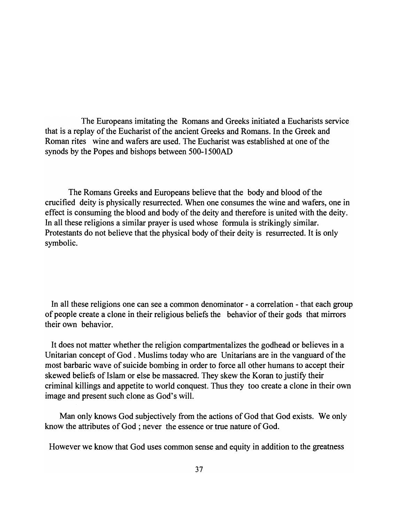The Europeans imitating the Romans and Greeks initiated a Eucharists service that is a replay of the Eucharist of the ancient Greeks and Romans. In the Greek and Roman rites wine and wafers are used. The Eucharist was established at one of the synods by the Popes and bishops between 500-1500AD

The Romans Greeks and Europeans believe that the body and blood of the crucified deity is physically resurrected. When one consumes the wine and wafers, one in effect is consuming the blood and body of the deity and therefore is united with the deity. In all these religions a similar prayer is used whose formula is strikingly similar. Protestants do not believe that the physical body of their deity is resurrected. It is only symbolic.

In all these religions one can see a common denominator - a correlation - that each group of people create a clone in their religious beliefs the behavior of their gods that mirrors their own behavior.

It does not matter whether the religion compartmentalizes the godhead or believes in a Unitarian concept of God . Muslims today who are Unitarians are in the vanguard of the most barbaric wave of suicide bombing in order to force all other humans to accept their skewed beliefs of Islam or else be massacred. They skew the Koran to justify their criminal killings and appetite to world conquest. Thus they too create a clone in their own image and present such clone as God's will.

Man only knows God subjectively from the actions of God that God exists. We only know the attributes of God; never the essence or true nature of God.

However we know that God uses common sense and equity in addition to the greatness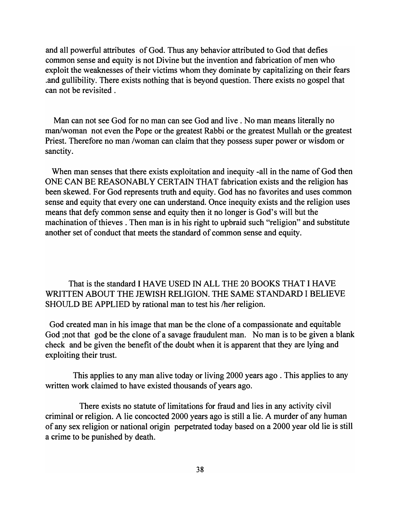and all powerful attributes of God. Thus any behavior attributed to God that defies common sense and equity is not Divine but the invention and fabrication of men who exploit the weaknesses of their victims whom they dominate by capitalizing on their fears .and gullibility. There exists nothing that is beyond question. There exists no gospel that can not be revisited .

Man can not see God for no man can see God and live. No man means literally no man/woman not even the Pope or the greatest Rabbi or the greatest Mullah or the greatest Priest. Therefore no man /woman can claim that they possess super power or wisdom or sanctity.

When man senses that there exists exploitation and inequity -all in the name of God then ONE CAN BE REASONABLY CERTAIN THAT fabrication exists and the religion has been skewed. For God represents truth and equity. God has no favorites and uses common sense and equity that every one can understand. Once inequity exists and the religion uses means that defy common sense and equity then it no longer is God's will but the machination of thieves . Then man is in his right to upbraid such "religion" and substitute another set of conduct that meets the standard of common sense and equity.

That is the standard I HA VE USED IN ALL THE 20 BOOKS THAT I HAVE WRITTEN ABOUT THE JEWISH RELIGION. THE SAME STANDARD I BELIEVE SHOULD BE APPLIED by rational man to test his /her religion.

God created man in his image that man be the clone of a compassionate and equitable God ;not that god be the clone of a savage fraudulent man. No man is to be given a blank check and be given the benefit of the doubt when it is apparent that they are lying and exploiting their trust.

This applies to any man alive today or living 2000 years ago. This applies to any written work claimed to have existed thousands of years ago.

There exists no statute of limitations for fraud and lies in any activity civil criminal or religion. A lie concocted 2000 years ago is still a lie. A murder of any human of any sex religion or national origin perpetrated today based on a 2000 year old lie is still a crime to be punished by death.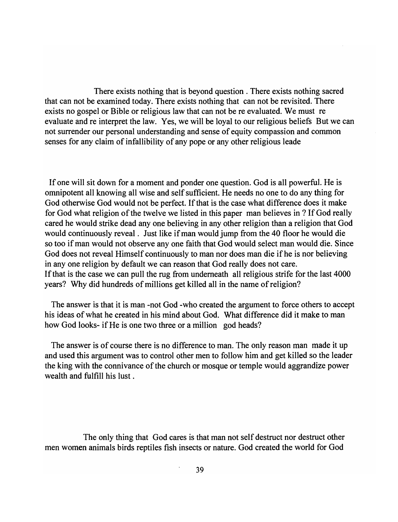There exists nothing that is beyond question . There exists nothing sacred that can not be examined today. There exists nothing that can not be revisited. There exists no gospel or Bible or religious law that can not be re evaluated. We must re evaluate and re interpret the law. Yes, we will be loyal to our religious beliefs But we can not surrender our personal understanding and sense of equity compassion and common senses for any claim of infallibility of any pope or any other religious leade

If one will sit down for a moment and ponder one question. God is all powerful. He is omnipotent all knowing all wise and self sufficient. He needs no one to do any thing for God otherwise God would not be perfect. If that is the case what difference does it make for God what religion of the twelve we listed in this paper man believes in ? If God really cared he would strike dead anyone believing in any other religion than a religion that God would continuously reveal. Just like if man would jump from the 40 floor he would die so too if man would not observe anyone faith that God would select man would die. Since God does not reveal Himself continuously to man nor does man die if he is nor believing in anyone religion by default we can reason that God really does not care. If that is the case we can pull the rug from underneath all religious strife for the last 4000 years? Why did hundreds of millions get killed all in the name of religion?

The answer is that it is man -not God -who created the argument to force others to accept his ideas of what he created in his mind about God. What difference did it make to man how God looks- if He is one two three or a million god heads?

The answer is of course there is no difference to man. The only reason man made it up and used this argument was to control other men to follow him and get killed so the leader the king with the connivance of the church or mosque or temple would aggrandize power wealth and fulfill his lust.

The only thing that God cares is that man not self destruct nor destruct other men women animals birds reptiles fish insects or nature. God created the world for God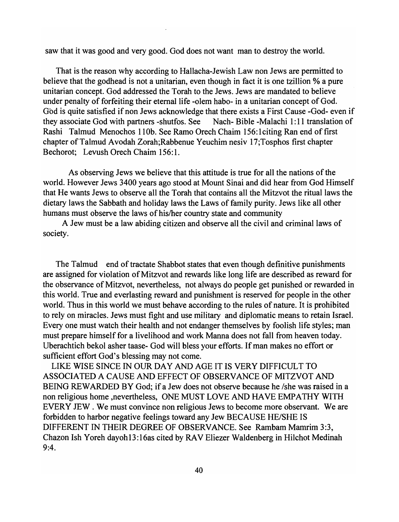saw that it was good and very good. God does not want man to destroy the world.

That is the reason why according to Hallacha-Jewish Law non Jews are permitted to believe that the godhead is not a unitarian, even though in fact it is one tzillion % a pure unitarian concept. God addressed the Torah to the Jews. Jews are mandated to believe under penalty of forfeiting their eternal life -olem habo- in a unitarian concept of God. God is quite satisfied if non Jews acknowledge that there exists a First Cause -God- even if they associate God with partners -shutfos. See Nach- Bible -Malachi 1: 11 translation of Rashi Talmud Menochos 110b. See Ramo Orech Chaim 156: 1 citing Ran end of first chapter of Talmud A vodah Zorah;Rabbenue Yeuchim nesiv 17 ;Tosphos first chapter Bechorot; Levush Orech Chaim 156:1.

As observing Jews we believe that this attitude is true for all the nations of the world. However Jews 3400 years ago stood at Mount Sinai and did hear from God Himself that He wants Jews to observe all the Torah that contains all the Mitzvot the ritual laws the dietary laws the Sabbath and holiday laws the Laws of family purity. Jews like all other humans must observe the laws of his/her country state and community

A Jew must be a law abiding citizen and observe all the civil and criminal laws of society.

The Talmud end of tractate Shabbot states that even though definitive punishments are assigned for violation of Mitzvot and rewards like long life are described as reward for the observance of Mitzvot, nevertheless, not always do people get punished or rewarded in this world. True and everlasting reward and punishment is reserved for people in the other world. Thus in this world we must behave according to the rules of nature. It is prohibited to rely on miracles. Jews must fight and use military and diplomatic means to retain Israel. Every one must watch their health and not endanger themselves by foolish life styles; man must prepare himself for a livelihood and work Manna does not fall from heaven today. Uberachtich bekol asher taase- God will bless your efforts. If man makes no effort or sufficient effort God's blessing may not come.

LIKE WISE SINCE IN OUR DAY AND AGE IT IS VERY DIFFICULT TO ASSOCIATED A CAUSE AND EFFECT OF OBSERVANCE OF MITZVOT AND BEING REWARDED BY God; if a Jew does not observe because he /she was raised in a non religious home ,nevertheless, ONE MUST LOVE AND HA VE EMPATHY WITH EVERY JEW . We must convince non religious Jews to become more observant. We are forbidden to harbor negative feelings toward any Jew BECAUSE HE/SHE IS DIFFERENT IN THEIR DEGREE OF OBSERVANCE. See Rambam Mamrim 3:3, Chazon Ish Yoreh dayoh 13:16as cited by RAV Eliezer Waldenberg in Hilchot Medinah 9:4.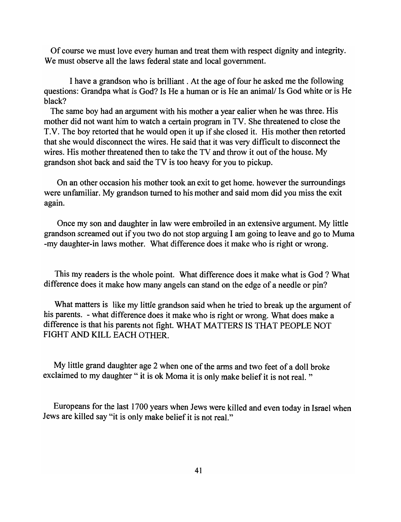Of course we must love every human and treat them with respect dignity and integrity. We must observe all the laws federal state and local government.

I have a grandson who is brilliant. At the age of four he asked me the following questions: Grandpa what is God? Is He a human or is He an animal/ Is God white or is He black?

The same boy had an argument with his mother a year ealier when he was three. His mother did not want him to watch a certain program in TV. She threatened to close the T.V. The boy retorted that he would open it up if she closed it. His mother then retorted that she would disconnect the wires. He said that it was very difficult to disconnect the wires. His mother threatened then to take the TV and throw it out of the house. My grandson shot back and said the TV is too heavy for you to pickup.

On an other occasion his mother took an exit to get home. however the surroundings were unfamiliar. My grandson turned to his mother and said mom did you miss the exit again.

Once my son and daughter in law were embroiled in an extensive argument. My little grandson screamed out if you two do not stop arguing I am going to leave and go to Muma -my daughter-in laws mother. What difference does it make who is right or wrong.

This my readers is the whole point. What difference does it make what is God ? What difference does it make how many angels can stand on the edge of a needle or pin?

What matters is like my little grandson said when he tried to break up the argument of his parents. - what difference does it make who is right or wrong. What does make a difference is that his parents not fight. WHAT MATTERS IS THAT PEOPLE NOT FIGHT AND KILL EACH OTHER.

My little grand daughter age 2 when one of the arms and two feet of a doll broke exclaimed to my daughter " it is ok Moma it is only make belief it is not real. "

Europeans for the last 1700 years when Jews were killed and even today in Israel when Jews are killed say "it is only make belief it is not real."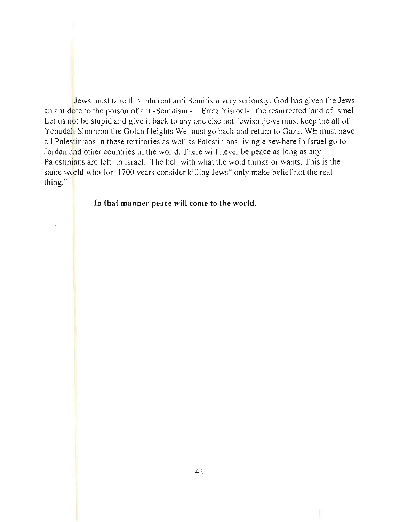Jews must take this inherent anti Semitism very seriously. God has given the Jews an antidote to the poison of anti-Semitism - Eretz Yisroel- the resurrected land of Israel Let us not be stupid and give it back to any one else not Jewish .jews must keep the all of Yehudah Shomron the Golan Heights We must go back and return to Gaza. WE must have all Palestinians in these territories as well as Palestinians living elsewhere in Israel go to Jordan and other countries in the world. There will never be peace as long as any Palestinians are left in Israel. The hell with what the wold thinks or wants. This is the same world who for 1700 years consider killing Jews" only make belief not the real thing."

## **In** that manner peace will come to the world.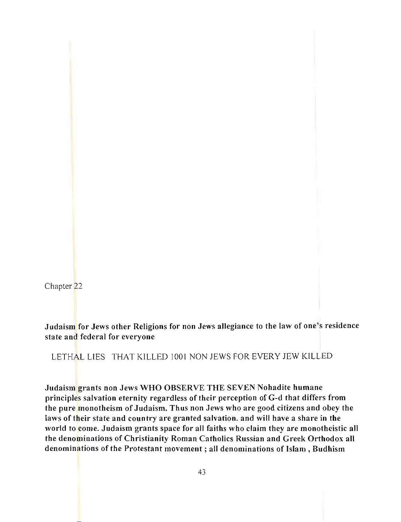Chapter 22

Judaism for Jews other Religions for non Jews allegiance to the law of one's residence state and federal for everyone

LETHAL LIES THAT KILLED 1001 NON JEWS FOR EVERY JEW KILLED

Judaism grants non Jews WHO OBSERVE THE SEVEN Nohadite humane principles salvation eternity regardless of their perception of G-d that differs from the pure monotheism of Judaism. Thus non Jews who are good citizens and obey the laws of their state and country are granted salvation. and will have a share in the world to come. Judaism grants space for all faiths who claim they are monotheistic all the denominations of Christianity Roman Catholics Russian and Greek Orthodox all denominations of the Protestant movement; all denominations of Islam, Budhism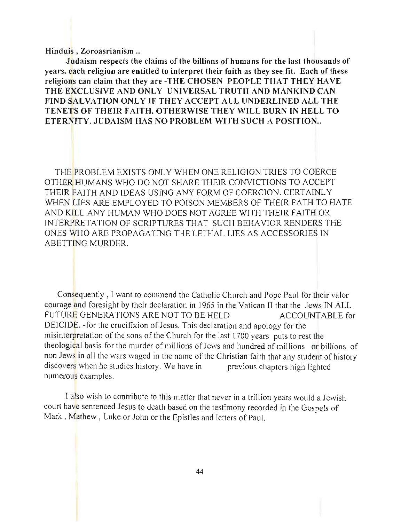## Hinduis , Zoroasrianism ..

Judaism respects the claims of the billions of humans for the last thousands of years. each religion are entitled to interpret their faith as they see fit. Each of these religions can claim that they are -THE CHOSEN PEOPLE THAT THEY HAVE THE EXCLUSIVE AND ONLY UNIVERSAL TRUTH AND MANKIND CAN FIND SALVATION ONLY IF THEY ACCEPT ALL UNDERLINED ALL THE TENETS OF THEIR FAITH. OTHERWISE THEY WILL BURN IN HELL TO ETERNITY. JUDAISM HAS NO PROBLEM WITH SUCH A POSITION...

THE PROBLEM EXISTS ONLY WHEN ONE RELIGION TRIES TO COERCE OTHER HUMANS WHO DO NOT SHARE THEIR CONVICTIONS TO ACCEPT THEIR FAITH AND IDEAS USING ANY FORM OF COERCION. CERTAINLY WHEN LIES ARE EMPLOYED TO POISON MEMBERS OF THEIR FATH TO HATE AND KILL ANY HUMAN WHO DOES NOT AGREE WITH THEIR FAITH OR INTERPRETATION OF SCRIPTURES THAT SUCH BEHAVIOR RENDERS THE ONES WHO ARE PROPAGATING THE LETHAL LIES AS ACCESSORIES IN ABETTING MURDER.

Consequently , I want to commend the Catholic Church and Pope Paul for their valor courage and foresight by their declaration in 1965 in the Vatican II that the Jews IN ALL FUTURE GENERATIONS ARE NOT TO BE HELD ACCOUNTABLE for DEICIDE. - for the crucifixion of Jesus. This declaration and apology for the misinterpretation of the sons of the Church for the last 1700 years puts to rest the theological basis for the murder of millions of Jews and hundred of millions or billions of non Jews in all the wars waged in the name of the Christian faith that any student of history discovers when he studies history. We have in previous chapters high lighted numerous examples.

I also wish to contribute to this matter that never in a trillion years would a Jewish court have sentenced Jesus to death based on the testimony recorded in the Gospels of Mark , Mathew , Luke or John or the Epistles and letters of Paul.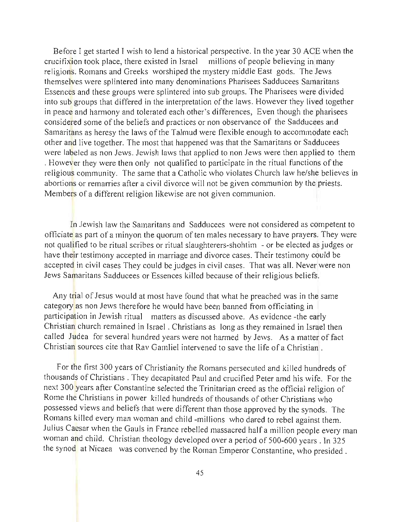Before I get started I wish to lend a historical perspective. In the year 30 ACE when the crucifixion took place, there existed in Israel millions of people believing in many religions. Romans and Greeks worshiped the mystery middle East gods. The Jews themselves were splintered into many denominations Pharisees Sadducees Samaritans Essences and these groups were splintered into sub groups. The Pharisees were divided into sub groups that differed in the interpretation of the laws. However they lived together in peace and harmony and tolerated each other's differences, Even though the pharisees considered some of the beliefs and practices or non observance of the Sadducees and Samaritans as heresy the laws of the Talmud were flexible enough to accommodate each other and live together. The most that happened was that the Samaritans or Sadducees were labeled as non Jews. Jewish laws that applied to non Jews were then applied to them . However they were then only not qualified to participate in the ritual functions of the religious community. The same that a Catholic who violates Church law he/she believes in abortions or remarries after a civil divorce will not be given communion by the priests. Members of a different religion likewise are not given communion.

In Jewish law the Samaritans and Sadducees were not considered as competent to officiate as part of a minyon the quorum of ten males necessary to have prayers. They were not qualified to be ritual scribes or ritual slaughterers-shohtim - or be elected as judges or have their testimony accepted in marriage and divorce cases. Their testimony could be accepted in civil cases They could be judges in civil cases. That was all. Never were non Jews Samaritans Sadducees or Essences killed because of their religious beliefs.

Any trial of Jesus would at most have found that what he preached was in the same category as non Jews therefore he would have been banned from officiating in participation in Jewish ritual matters as discussed above. As evidence -the early Christian church remained in Israel. Christians as long as they remained in Israel then called Judea for several hundred years were not harmed by Jews. As a matter of fact Christian sources cite that Ray Gamliel intervened to save the life of a Christian

For the first 300 years of Christianity the Romans persecuted and killed hundreds of thousands of Christians . They decapitated Paul and crucified Peter amd his wife. For the next 300 years after Constantine selected the Trinitarian creed as the official religion of Rome the Christians in power killed hundreds of thousands of other Christians who possessed views and beliefs that were different than those approved by the synods. The Romans killed every man woman and child -millions who dared to rebel against them. Julius Caesar when the Gauls in France rebelled massacred half a million people every man woman and child. Christian theology developed over a period of 500-600 years. In 325 the synod at Nicaea was convened by the Roman Emperor Constantine, who presided.